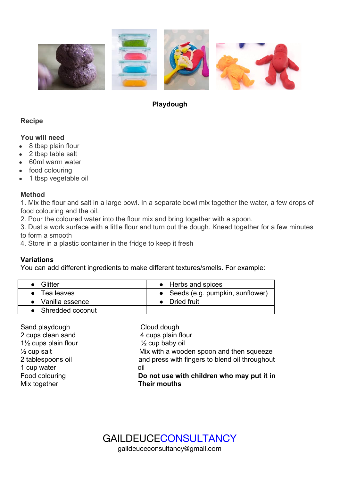

## **Playdough**

## **Recipe**

### **You will need**

- 8 tbsp plain flour
- 2 tbsp table salt
- 60ml warm water
- food colouring
- 1 tbsp vegetable oil

### **Method**

1. Mix the flour and salt in a large bowl. In a separate bowl mix together the water, a few drops of food colouring and the oil.

- 2. Pour the coloured water into the flour mix and bring together with a spoon.
- 3. Dust a work surface with a little flour and turn out the dough. Knead together for a few minutes to form a smooth
- 4. Store in a plastic container in the fridge to keep it fresh

## **Variations**

You can add different ingredients to make different textures/smells. For example:

| Glitter             | • Herbs and spices                |
|---------------------|-----------------------------------|
| $\bullet$ Tealeaves | • Seeds (e.g. pumpkin, sunflower) |
| • Vanilla essence   | • Dried fruit                     |
| • Shredded coconut  |                                   |

| Sand playdough                                 | Cloud dough                                    |
|------------------------------------------------|------------------------------------------------|
| 2 cups clean sand                              | 4 cups plain flour                             |
| 1 <sup>1</sup> / <sub>2</sub> cups plain flour | $\frac{1}{2}$ cup baby oil                     |
| $\frac{1}{2}$ cup salt                         | Mix with a wooden spoon and then squeeze       |
| 2 tablespoons oil                              | and press with fingers to blend oil throughout |
| 1 cup water                                    | oil                                            |
| Food colouring                                 | Do not use with children who may put it in     |
| Mix together                                   | <b>Their mouths</b>                            |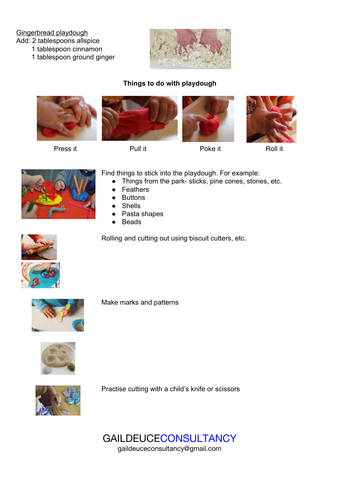#### Gingerbread playdough

Add: 2 tablespoons allspice

1 tablespoon cinnamon

1 tablespoon ground ginger



# **Things to do with playdough**



Press it **Pull it** Poke it **Poke it** Roll it









Find things to stick into the playdough. For example:

- Things from the park- sticks, pine cones, stones, etc.
- **Feathers**
- **Buttons**
- **Shells**
- Pasta shapes
- **Beads**

Rolling and cutting out using biscuit cutters, etc.



Make marks and patterns



Practise cutting with a child's knife or scissors



GAILDEUCECONSULTANCY gaildeuceconsultancy@gmail.com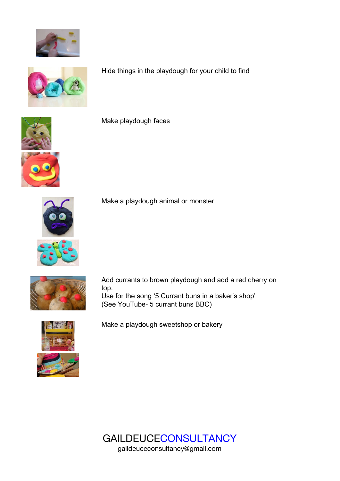



Hide things in the playdough for your child to find



Make playdough faces



Make a playdough animal or monster



Add currants to brown playdough and add a red cherry on top. Use for the song '5 Currant buns in a baker's shop' (See YouTube- 5 currant buns BBC)



Make a playdough sweetshop or bakery